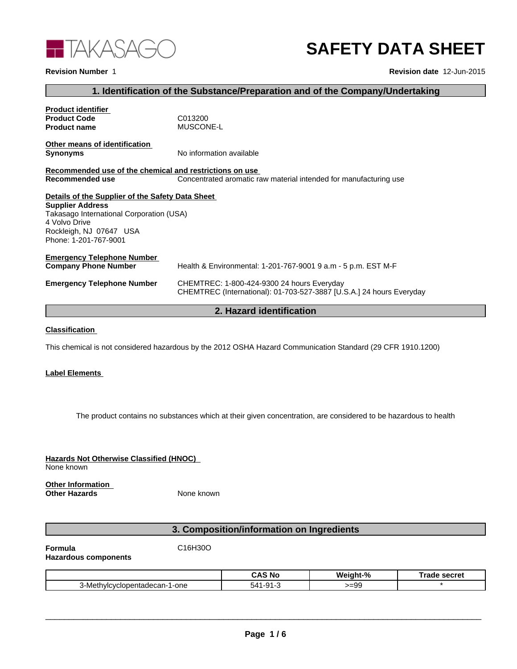

# **SAFETY DATA SHEET**

#### **Revision Number** 1

**Revision date** 12-Jun-2015

# **1. Identification of the Substance/Preparation and of the Company/Undertaking**

| <b>Product identifier</b>                               |                                                                      |
|---------------------------------------------------------|----------------------------------------------------------------------|
| <b>Product Code</b>                                     | C013200                                                              |
| <b>Product name</b>                                     | <b>MUSCONE-L</b>                                                     |
| Other means of identification                           |                                                                      |
| <b>Synonyms</b>                                         | No information available                                             |
| Recommended use of the chemical and restrictions on use |                                                                      |
| Recommended use                                         | Concentrated aromatic raw material intended for manufacturing use    |
| Details of the Supplier of the Safety Data Sheet        |                                                                      |
| <b>Supplier Address</b>                                 |                                                                      |
| Takasago International Corporation (USA)                |                                                                      |
| 4 Volvo Drive                                           |                                                                      |
| Rockleigh, NJ 07647 USA                                 |                                                                      |
| Phone: 1-201-767-9001                                   |                                                                      |
| <b>Emergency Telephone Number</b>                       |                                                                      |
| <b>Company Phone Number</b>                             | Health & Environmental: 1-201-767-9001 9 a.m - 5 p.m. EST M-F        |
| <b>Emergency Telephone Number</b>                       | CHEMTREC: 1-800-424-9300 24 hours Everyday                           |
|                                                         | CHEMTREC (International): 01-703-527-3887 [U.S.A.] 24 hours Everyday |

# **2. Hazard identification**

## **Classification**

This chemical is not considered hazardous by the 2012 OSHA Hazard Communication Standard (29 CFR 1910.1200)

#### **Label Elements**

The product contains no substances which at their given concentration, are considered to be hazardous to health

**Hazards Not Otherwise Classified (HNOC)**  None known **Other Information** 

**Other Hazards** None known

# **3. Composition/information on Ingredients**

**Formula** C16H30O

**Hazardous components**

|                               | ∴∆S N<br>ੋ Nc | Weight-% | : secret<br>аое |
|-------------------------------|---------------|----------|-----------------|
| 3-Methvlcvclopentadecan-1-one | 丷<br>ີ        | >=99     |                 |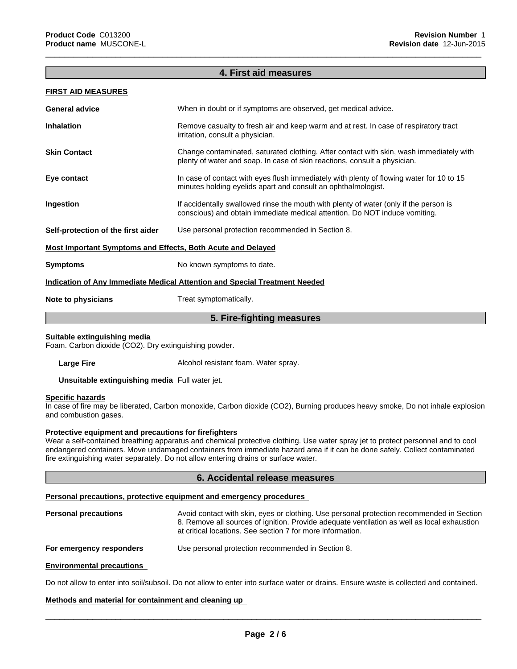## **4. First aid measures**

 $\overline{\phantom{a}}$  ,  $\overline{\phantom{a}}$  ,  $\overline{\phantom{a}}$  ,  $\overline{\phantom{a}}$  ,  $\overline{\phantom{a}}$  ,  $\overline{\phantom{a}}$  ,  $\overline{\phantom{a}}$  ,  $\overline{\phantom{a}}$  ,  $\overline{\phantom{a}}$  ,  $\overline{\phantom{a}}$  ,  $\overline{\phantom{a}}$  ,  $\overline{\phantom{a}}$  ,  $\overline{\phantom{a}}$  ,  $\overline{\phantom{a}}$  ,  $\overline{\phantom{a}}$  ,  $\overline{\phantom{a}}$ 

#### **FIRST AID MEASURES**

| <b>General advice</b>                                                      | When in doubt or if symptoms are observed, get medical advice.                                                                                                       |  |
|----------------------------------------------------------------------------|----------------------------------------------------------------------------------------------------------------------------------------------------------------------|--|
| <b>Inhalation</b>                                                          | Remove casualty to fresh air and keep warm and at rest. In case of respiratory tract<br>irritation, consult a physician.                                             |  |
| <b>Skin Contact</b>                                                        | Change contaminated, saturated clothing. After contact with skin, wash immediately with<br>plenty of water and soap. In case of skin reactions, consult a physician. |  |
| Eye contact                                                                | In case of contact with eyes flush immediately with plenty of flowing water for 10 to 15<br>minutes holding eyelids apart and consult an ophthalmologist.            |  |
| Ingestion                                                                  | If accidentally swallowed rinse the mouth with plenty of water (only if the person is<br>conscious) and obtain immediate medical attention. Do NOT induce vomiting.  |  |
| Self-protection of the first aider                                         | Use personal protection recommended in Section 8.                                                                                                                    |  |
| <b>Most Important Symptoms and Effects, Both Acute and Delayed</b>         |                                                                                                                                                                      |  |
| <b>Symptoms</b>                                                            | No known symptoms to date.                                                                                                                                           |  |
| Indication of Any Immediate Medical Attention and Special Treatment Needed |                                                                                                                                                                      |  |
| Note to physicians                                                         | Treat symptomatically.                                                                                                                                               |  |
| 5. Fire-fighting measures                                                  |                                                                                                                                                                      |  |
|                                                                            |                                                                                                                                                                      |  |

## **Suitable extinguishing media**

Foam. Carbon dioxide (CO2). Dry extinguishing powder.

Large Fire **Large Fire Alcohol resistant foam. Water spray.** 

**Unsuitable extinguishing media** Full water jet.

#### **Specific hazards**

In case of fire may be liberated, Carbon monoxide, Carbon dioxide (CO2), Burning produces heavy smoke, Do not inhale explosion and combustion gases.

#### **Protective equipment and precautions for firefighters**

Wear a self-contained breathing apparatus and chemical protective clothing. Use water spray jet to protect personnel and to cool endangered containers. Move undamaged containers from immediate hazard area if it can be done safely. Collect contaminated fire extinguishing water separately. Do not allow entering drains or surface water.

#### **6. Accidental release measures**

#### **Personal precautions, protective equipment and emergency procedures**

| <b>Personal precautions</b> | Avoid contact with skin, eyes or clothing. Use personal protection recommended in Section   |
|-----------------------------|---------------------------------------------------------------------------------------------|
|                             | 8. Remove all sources of ignition. Provide adequate ventilation as well as local exhaustion |
|                             | at critical locations. See section 7 for more information.                                  |
|                             |                                                                                             |

## **For emergency responders** Use personal protection recommended in Section 8.

#### **Environmental precautions**

Do not allow to enter into soil/subsoil. Do not allow to enter into surface water or drains. Ensure waste is collected and contained.

#### **Methods and material for containment and cleaning up**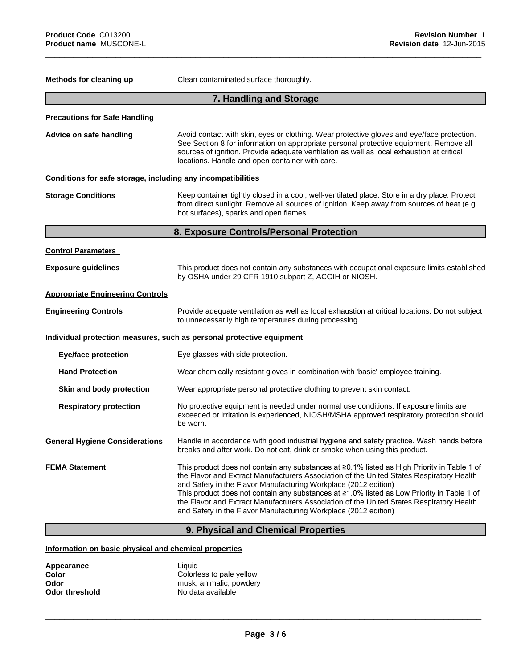| Methods for cleaning up                                      | Clean contaminated surface thoroughly.                                                                                                                                                                                                                                                                                                                                                                                                                                                                                  |
|--------------------------------------------------------------|-------------------------------------------------------------------------------------------------------------------------------------------------------------------------------------------------------------------------------------------------------------------------------------------------------------------------------------------------------------------------------------------------------------------------------------------------------------------------------------------------------------------------|
|                                                              | 7. Handling and Storage                                                                                                                                                                                                                                                                                                                                                                                                                                                                                                 |
| <b>Precautions for Safe Handling</b>                         |                                                                                                                                                                                                                                                                                                                                                                                                                                                                                                                         |
| Advice on safe handling                                      | Avoid contact with skin, eyes or clothing. Wear protective gloves and eye/face protection.<br>See Section 8 for information on appropriate personal protective equipment. Remove all<br>sources of ignition. Provide adequate ventilation as well as local exhaustion at critical<br>locations. Handle and open container with care.                                                                                                                                                                                    |
| Conditions for safe storage, including any incompatibilities |                                                                                                                                                                                                                                                                                                                                                                                                                                                                                                                         |
| <b>Storage Conditions</b>                                    | Keep container tightly closed in a cool, well-ventilated place. Store in a dry place. Protect<br>from direct sunlight. Remove all sources of ignition. Keep away from sources of heat (e.g.<br>hot surfaces), sparks and open flames.                                                                                                                                                                                                                                                                                   |
|                                                              | 8. Exposure Controls/Personal Protection                                                                                                                                                                                                                                                                                                                                                                                                                                                                                |
| <b>Control Parameters</b>                                    |                                                                                                                                                                                                                                                                                                                                                                                                                                                                                                                         |
| <b>Exposure guidelines</b>                                   | This product does not contain any substances with occupational exposure limits established<br>by OSHA under 29 CFR 1910 subpart Z, ACGIH or NIOSH.                                                                                                                                                                                                                                                                                                                                                                      |
| <b>Appropriate Engineering Controls</b>                      |                                                                                                                                                                                                                                                                                                                                                                                                                                                                                                                         |
| <b>Engineering Controls</b>                                  | Provide adequate ventilation as well as local exhaustion at critical locations. Do not subject<br>to unnecessarily high temperatures during processing.                                                                                                                                                                                                                                                                                                                                                                 |
|                                                              | Individual protection measures, such as personal protective equipment                                                                                                                                                                                                                                                                                                                                                                                                                                                   |
| <b>Eye/face protection</b>                                   | Eye glasses with side protection.                                                                                                                                                                                                                                                                                                                                                                                                                                                                                       |
| <b>Hand Protection</b>                                       | Wear chemically resistant gloves in combination with 'basic' employee training.                                                                                                                                                                                                                                                                                                                                                                                                                                         |
| Skin and body protection                                     | Wear appropriate personal protective clothing to prevent skin contact.                                                                                                                                                                                                                                                                                                                                                                                                                                                  |
| <b>Respiratory protection</b>                                | No protective equipment is needed under normal use conditions. If exposure limits are<br>exceeded or irritation is experienced, NIOSH/MSHA approved respiratory protection should<br>be worn.                                                                                                                                                                                                                                                                                                                           |
| <b>General Hygiene Considerations</b>                        | Handle in accordance with good industrial hygiene and safety practice. Wash hands before<br>breaks and after work. Do not eat, drink or smoke when using this product.                                                                                                                                                                                                                                                                                                                                                  |
| <b>FEMA Statement</b>                                        | This product does not contain any substances at ≥0.1% listed as High Priority in Table 1 of<br>the Flavor and Extract Manufacturers Association of the United States Respiratory Health<br>and Safety in the Flavor Manufacturing Workplace (2012 edition)<br>This product does not contain any substances at ≥1.0% listed as Low Priority in Table 1 of<br>the Flavor and Extract Manufacturers Association of the United States Respiratory Health<br>and Safety in the Flavor Manufacturing Workplace (2012 edition) |

 $\overline{\phantom{a}}$  ,  $\overline{\phantom{a}}$  ,  $\overline{\phantom{a}}$  ,  $\overline{\phantom{a}}$  ,  $\overline{\phantom{a}}$  ,  $\overline{\phantom{a}}$  ,  $\overline{\phantom{a}}$  ,  $\overline{\phantom{a}}$  ,  $\overline{\phantom{a}}$  ,  $\overline{\phantom{a}}$  ,  $\overline{\phantom{a}}$  ,  $\overline{\phantom{a}}$  ,  $\overline{\phantom{a}}$  ,  $\overline{\phantom{a}}$  ,  $\overline{\phantom{a}}$  ,  $\overline{\phantom{a}}$ 

# **9. Physical and Chemical Properties**

# **Information on basic physical and chemical properties**

| Appearance            | Liauid                   |  |
|-----------------------|--------------------------|--|
| Color                 | Colorless to pale yellow |  |
| Odor                  | musk, animalic, powdery  |  |
| <b>Odor threshold</b> | No data available        |  |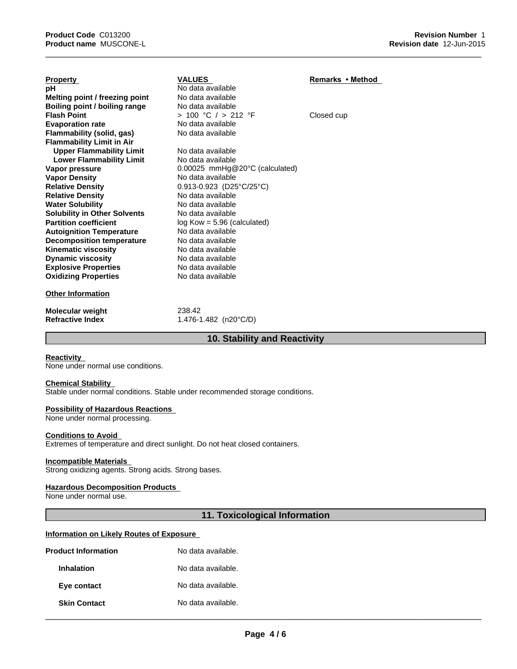| <b>Property</b>                     | <b>VALUES</b>                               | Remarks • Method |
|-------------------------------------|---------------------------------------------|------------------|
| рH                                  | No data available                           |                  |
| Melting point / freezing point      | No data available                           |                  |
| Boiling point / boiling range       | No data available                           |                  |
| <b>Flash Point</b>                  | > 100 °C / > 212 °F                         | Closed cup       |
| <b>Evaporation rate</b>             | No data available                           |                  |
| Flammability (solid, gas)           | No data available                           |                  |
| <b>Flammability Limit in Air</b>    |                                             |                  |
| <b>Upper Flammability Limit</b>     | No data available                           |                  |
| <b>Lower Flammability Limit</b>     | No data available                           |                  |
| Vapor pressure                      | $0.00025$ mmHg@20 $^{\circ}$ C (calculated) |                  |
| <b>Vapor Density</b>                | No data available                           |                  |
| <b>Relative Density</b>             | $0.913 - 0.923$ (D25°C/25°C)                |                  |
| <b>Relative Density</b>             | No data available                           |                  |
| <b>Water Solubility</b>             | No data available                           |                  |
| <b>Solubility in Other Solvents</b> | No data available                           |                  |
| <b>Partition coefficient</b>        | $log$ Kow = 5.96 (calculated)               |                  |
| <b>Autoignition Temperature</b>     | No data available                           |                  |
| <b>Decomposition temperature</b>    | No data available                           |                  |
| <b>Kinematic viscosity</b>          | No data available                           |                  |
| <b>Dynamic viscosity</b>            | No data available                           |                  |
| <b>Explosive Properties</b>         | No data available                           |                  |
| <b>Oxidizing Properties</b>         | No data available                           |                  |
| <b>Other Information</b>            |                                             |                  |
| <b>Molecular weight</b>             | 238.42                                      |                  |
| <b>Refractive Index</b>             | 1.476-1.482 (n20 $^{\circ}$ C/D)            |                  |

## **10. Stability and Reactivity**

 $\overline{\phantom{a}}$  ,  $\overline{\phantom{a}}$  ,  $\overline{\phantom{a}}$  ,  $\overline{\phantom{a}}$  ,  $\overline{\phantom{a}}$  ,  $\overline{\phantom{a}}$  ,  $\overline{\phantom{a}}$  ,  $\overline{\phantom{a}}$  ,  $\overline{\phantom{a}}$  ,  $\overline{\phantom{a}}$  ,  $\overline{\phantom{a}}$  ,  $\overline{\phantom{a}}$  ,  $\overline{\phantom{a}}$  ,  $\overline{\phantom{a}}$  ,  $\overline{\phantom{a}}$  ,  $\overline{\phantom{a}}$ 

## **Reactivity**

None under normal use conditions.

#### **Chemical Stability**

Stable under normal conditions. Stable under recommended storage conditions.

## **Possibility of Hazardous Reactions**

None under normal processing.

#### **Conditions to Avoid**

Extremes of temperature and direct sunlight. Do not heat closed containers.

#### **Incompatible Materials**

Strong oxidizing agents. Strong acids. Strong bases.

## **Hazardous Decomposition Products**

None under normal use.

## **11. Toxicological Information**

## **Information on Likely Routes of Exposure**

| <b>Product Information</b> | No data available. |
|----------------------------|--------------------|
| Inhalation                 | No data available. |
| Eye contact                | No data available. |
| <b>Skin Contact</b>        | No data available. |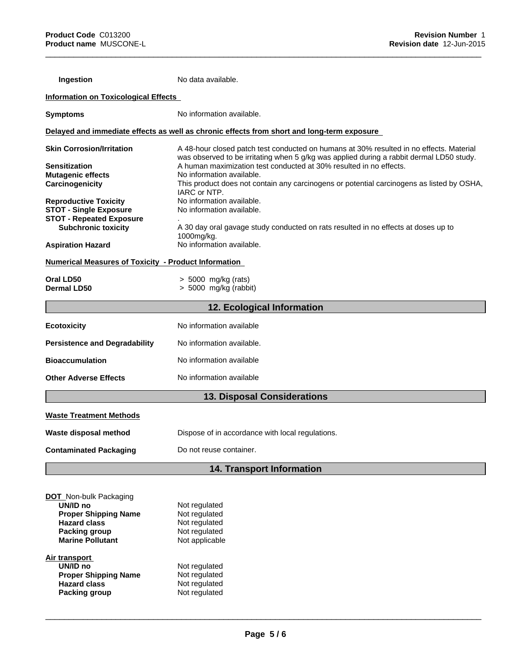| Ingestion                                                        | No data available.                                                                                                                                                                  |
|------------------------------------------------------------------|-------------------------------------------------------------------------------------------------------------------------------------------------------------------------------------|
| <b>Information on Toxicological Effects</b>                      |                                                                                                                                                                                     |
| <b>Symptoms</b>                                                  | No information available.                                                                                                                                                           |
|                                                                  | Delayed and immediate effects as well as chronic effects from short and long-term exposure                                                                                          |
| <b>Skin Corrosion/Irritation</b>                                 | A 48-hour closed patch test conducted on humans at 30% resulted in no effects. Material<br>was observed to be irritating when 5 g/kg was applied during a rabbit dermal LD50 study. |
| <b>Sensitization</b><br><b>Mutagenic effects</b>                 | A human maximization test conducted at 30% resulted in no effects.<br>No information available.                                                                                     |
| Carcinogenicity                                                  | This product does not contain any carcinogens or potential carcinogens as listed by OSHA,<br>IARC or NTP.                                                                           |
| <b>Reproductive Toxicity</b>                                     | No information available.                                                                                                                                                           |
| <b>STOT - Single Exposure</b><br><b>STOT - Repeated Exposure</b> | No information available.                                                                                                                                                           |
| <b>Subchronic toxicity</b>                                       | A 30 day oral gavage study conducted on rats resulted in no effects at doses up to<br>1000mg/kg.                                                                                    |
| <b>Aspiration Hazard</b>                                         | No information available.                                                                                                                                                           |
| <b>Numerical Measures of Toxicity - Product Information</b>      |                                                                                                                                                                                     |
| Oral LD50                                                        | > 5000 mg/kg (rats)                                                                                                                                                                 |
| <b>Dermal LD50</b>                                               | $> 5000$ mg/kg (rabbit)                                                                                                                                                             |
|                                                                  | 12. Ecological Information                                                                                                                                                          |
| <b>Ecotoxicity</b>                                               | No information available                                                                                                                                                            |
| <b>Persistence and Degradability</b>                             | No information available.                                                                                                                                                           |
| <b>Bioaccumulation</b>                                           | No information available                                                                                                                                                            |
| <b>Other Adverse Effects</b>                                     | No information available                                                                                                                                                            |
|                                                                  | <b>13. Disposal Considerations</b>                                                                                                                                                  |
| <b>Waste Treatment Methods</b>                                   |                                                                                                                                                                                     |
| Waste disposal method                                            | Dispose of in accordance with local regulations.                                                                                                                                    |
| <b>Contaminated Packaging</b>                                    | Do not reuse container.                                                                                                                                                             |
|                                                                  | 14. Transport Information                                                                                                                                                           |
|                                                                  |                                                                                                                                                                                     |
| <b>DOT</b> Non-bulk Packaging                                    |                                                                                                                                                                                     |
| UN/ID no<br><b>Proper Shipping Name</b>                          | Not regulated<br>Not regulated                                                                                                                                                      |
| <b>Hazard class</b>                                              | Not regulated                                                                                                                                                                       |
| Packing group                                                    | Not regulated                                                                                                                                                                       |
| <b>Marine Pollutant</b>                                          | Not applicable                                                                                                                                                                      |
| <b>Air transport</b>                                             |                                                                                                                                                                                     |
| UN/ID no<br><b>Proper Shipping Name</b>                          | Not regulated<br>Not regulated                                                                                                                                                      |
| <b>Hazard class</b>                                              | Not regulated                                                                                                                                                                       |
| <b>Packing group</b>                                             | Not regulated                                                                                                                                                                       |

 $\overline{\phantom{a}}$  ,  $\overline{\phantom{a}}$  ,  $\overline{\phantom{a}}$  ,  $\overline{\phantom{a}}$  ,  $\overline{\phantom{a}}$  ,  $\overline{\phantom{a}}$  ,  $\overline{\phantom{a}}$  ,  $\overline{\phantom{a}}$  ,  $\overline{\phantom{a}}$  ,  $\overline{\phantom{a}}$  ,  $\overline{\phantom{a}}$  ,  $\overline{\phantom{a}}$  ,  $\overline{\phantom{a}}$  ,  $\overline{\phantom{a}}$  ,  $\overline{\phantom{a}}$  ,  $\overline{\phantom{a}}$